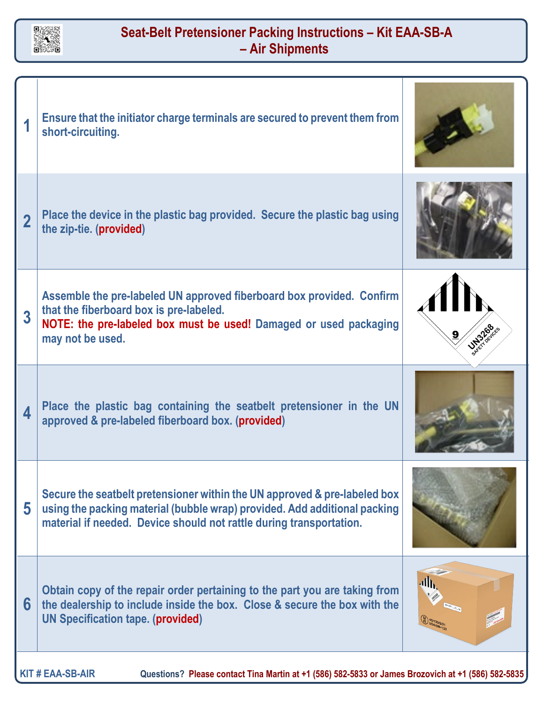

## **Seat-Belt Pretensioner Packing Instructions – Kit EAA-SB-A – Air Shipments**

| 1                       | Ensure that the initiator charge terminals are secured to prevent them from<br>short-circuiting.                                                                                                                              |               |
|-------------------------|-------------------------------------------------------------------------------------------------------------------------------------------------------------------------------------------------------------------------------|---------------|
| $\overline{2}$          | Place the device in the plastic bag provided. Secure the plastic bag using<br>the zip-tie. (provided)                                                                                                                         |               |
| $\overline{\mathbf{3}}$ | Assemble the pre-labeled UN approved fiberboard box provided. Confirm<br>that the fiberboard box is pre-labeled.<br>NOTE: the pre-labeled box must be used! Damaged or used packaging<br>may not be used.                     | <b>UNITED</b> |
| 4                       | Place the plastic bag containing the seatbelt pretensioner in the UN<br>approved & pre-labeled fiberboard box. (provided)                                                                                                     |               |
| 5                       | Secure the seatbelt pretensioner within the UN approved & pre-labeled box<br>using the packing material (bubble wrap) provided. Add additional packing<br>material if needed. Device should not rattle during transportation. |               |
| 6                       | Obtain copy of the repair order pertaining to the part you are taking from<br>the dealership to include inside the box. Close & secure the box with the<br><b>UN Specification tape. (provided)</b>                           |               |
|                         |                                                                                                                                                                                                                               |               |